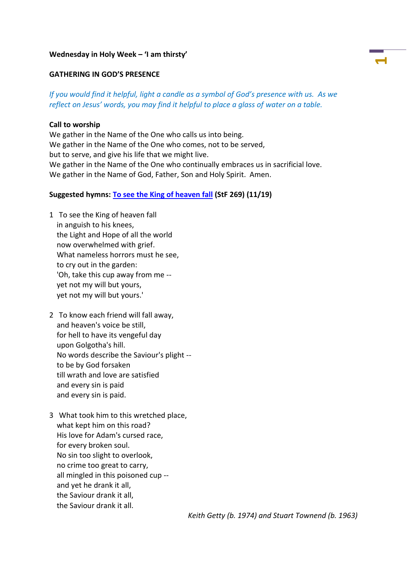#### **Wednesday in Holy Week – 'I am thirsty'**

### **GATHERING IN GOD'S PRESENCE**

# *If you would find it helpful, light a candle as a symbol of God's presence with us. As we reflect on Jesus' words, you may find it helpful to place a glass of water on a table.*

**1**

#### **Call to worship**

We gather in the Name of the One who calls us into being. We gather in the Name of the One who comes, not to be served, but to serve, and give his life that we might live. We gather in the Name of the One who continually embraces us in sacrificial love. We gather in the Name of God, Father, Son and Holy Spirit. Amen.

#### **Suggested hymns: To see [the King of heaven fall](https://www.methodist.org.uk/our-faith/worship/singing-the-faith-plus/hymns/to-see-the-king-of-heaven-fall-stf-269/) (StF 269) (11/19)**

- 1 To see the King of heaven fall in anguish to his knees, the Light and Hope of all the world now overwhelmed with grief. What nameless horrors must he see, to cry out in the garden: 'Oh, take this cup away from me - yet not my will but yours, yet not my will but yours.'
- 2 To know each friend will fall away, and heaven's voice be still, for hell to have its vengeful day upon Golgotha's hill. No words describe the Saviour's plight - to be by God forsaken till wrath and love are satisfied and every sin is paid and every sin is paid.
- 3 What took him to this wretched place, what kept him on this road? His love for Adam's cursed race, for every broken soul. No sin too slight to overlook, no crime too great to carry, all mingled in this poisoned cup - and yet he drank it all, the Saviour drank it all, the Saviour drank it all.

*Keith Getty (b. 1974) and Stuart Townend (b. 1963)*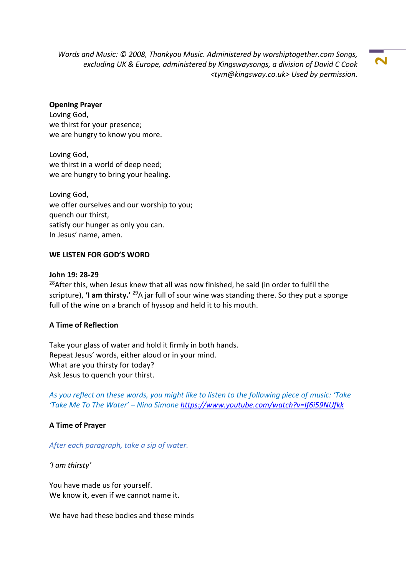*Words and Music: © 2008, Thankyou Music. Administered by worshiptogether.com Songs, excluding UK & Europe, administered by Kingswaysongs, a division of David C Cook <tym@kingsway.co.uk> Used by permission.*

**2**

### **Opening Prayer**

Loving God, we thirst for your presence; we are hungry to know you more.

Loving God, we thirst in a world of deep need; we are hungry to bring your healing.

Loving God, we offer ourselves and our worship to you; quench our thirst, satisfy our hunger as only you can. In Jesus' name, amen.

## **WE LISTEN FOR GOD'S WORD**

#### **John 19: 28-29**

<sup>28</sup>After this, when Jesus knew that all was now finished, he said (in order to fulfil the scripture), **'I am thirsty.'** <sup>29</sup>A jar full of sour wine was standing there. So they put a sponge full of the wine on a branch of hyssop and held it to his mouth.

### **A Time of Reflection**

Take your glass of water and hold it firmly in both hands. Repeat Jesus' words, either aloud or in your mind. What are you thirsty for today? Ask Jesus to quench your thirst.

*As you reflect on these words, you might like to listen to the following piece of music: 'Take 'Take Me To The Water' – Nina Simone<https://www.youtube.com/watch?v=If6i59NUfkk>*

### **A Time of Prayer**

*After each paragraph, take a sip of water.*

*'I am thirsty'*

You have made us for yourself. We know it, even if we cannot name it.

We have had these bodies and these minds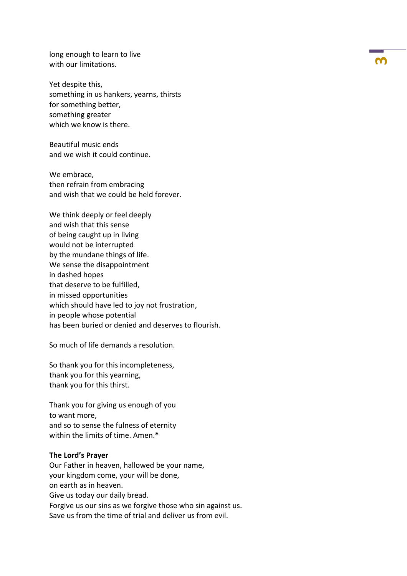long enough to learn to live with our limitations.

Yet despite this, something in us hankers, yearns, thirsts for something better, something greater which we know is there.

Beautiful music ends and we wish it could continue.

We embrace, then refrain from embracing and wish that we could be held forever.

We think deeply or feel deeply and wish that this sense of being caught up in living would not be interrupted by the mundane things of life. We sense the disappointment in dashed hopes that deserve to be fulfilled, in missed opportunities which should have led to joy not frustration, in people whose potential has been buried or denied and deserves to flourish.

So much of life demands a resolution.

So thank you for this incompleteness, thank you for this yearning, thank you for this thirst.

Thank you for giving us enough of you to want more, and so to sense the fulness of eternity within the limits of time. Amen.**\***

#### **The Lord's Prayer**

Our Father in heaven, hallowed be your name, your kingdom come, your will be done, on earth as in heaven. Give us today our daily bread. Forgive us our sins as we forgive those who sin against us. Save us from the time of trial and deliver us from evil.

**3**